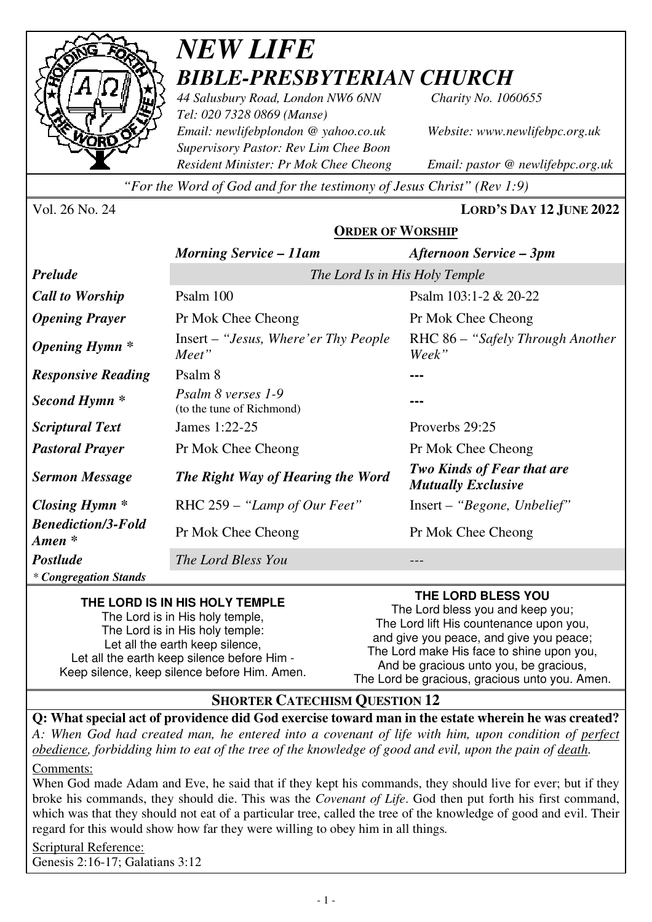

# *NEW LIFE BIBLE-PRESBYTERIAN CHURCH*

*44 Salusbury Road, London NW6 6NN Charity No. 1060655 Tel: 020 7328 0869 (Manse) Email: newlifebplondon @ yahoo.co.uk Website: www.newlifebpc.org.uk Supervisory Pastor: Rev Lim Chee Boon Resident Minister: Pr Mok Chee Cheong Email: pastor @ newlifebpc.org.uk* 

*"For the Word of God and for the testimony of Jesus Christ" (Rev 1:9)*

Vol. 26 No. 24 **LORD'S DAY 12 JUNE 2022**

### **ORDER OF WORSHIP**

|                                                 | <b>Morning Service - 11am</b>                   | <b>Afternoon Service – 3pm</b>                                 |
|-------------------------------------------------|-------------------------------------------------|----------------------------------------------------------------|
| <b>Prelude</b>                                  | The Lord Is in His Holy Temple                  |                                                                |
| <b>Call to Worship</b>                          | Psalm 100                                       | Psalm $103:1-2 & 20-22$                                        |
| <b>Opening Prayer</b>                           | Pr Mok Chee Cheong                              | Pr Mok Chee Cheong                                             |
| <b>Opening Hymn</b> *                           | Insert – "Jesus, Where' er Thy People"<br>Meet" | RHC 86 – "Safely Through Another"<br>Week"                     |
| <b>Responsive Reading</b>                       | Psalm 8                                         |                                                                |
| Second Hymn <sup>*</sup>                        | Psalm 8 verses 1-9<br>(to the tune of Richmond) |                                                                |
| <b>Scriptural Text</b>                          | James 1:22-25                                   | Proverbs 29:25                                                 |
| <b>Pastoral Prayer</b>                          | Pr Mok Chee Cheong                              | Pr Mok Chee Cheong                                             |
| <b>Sermon Message</b>                           | The Right Way of Hearing the Word               | <b>Two Kinds of Fear that are</b><br><b>Mutually Exclusive</b> |
| Closing Hymn *                                  | RHC 259 – "Lamp of Our Feet"                    | Insert – "Begone, Unbelief"                                    |
| <b>Benediction/3-Fold</b><br>$A$ <i>men</i> $*$ | Pr Mok Chee Cheong                              | Pr Mok Chee Cheong                                             |
| Postlude                                        | The Lord Bless You                              |                                                                |
| * Congregation Stands                           |                                                 |                                                                |

#### **THE LORD IS IN HIS HOLY TEMPLE**

The Lord is in His holy temple, The Lord is in His holy temple: Let all the earth keep silence, Let all the earth keep silence before Him - Keep silence, keep silence before Him. Amen.

### **THE LORD BLESS YOU**

The Lord bless you and keep you; The Lord lift His countenance upon you, and give you peace, and give you peace; The Lord make His face to shine upon you, And be gracious unto you, be gracious, The Lord be gracious, gracious unto you. Amen.

### **SHORTER CATECHISM QUESTION 12**

**Q: What special act of providence did God exercise toward man in the estate wherein he was created?** *A: When God had created man, he entered into a covenant of life with him, upon condition of perfect obedience, forbidding him to eat of the tree of the knowledge of good and evil, upon the pain of death.*  Comments:

When God made Adam and Eve, he said that if they kept his commands, they should live for ever; but if they broke his commands, they should die. This was the *Covenant of Life*. God then put forth his first command, which was that they should not eat of a particular tree, called the tree of the knowledge of good and evil. Their regard for this would show how far they were willing to obey him in all things*.*

Scriptural Reference: Genesis 2:16-17; Galatians 3:12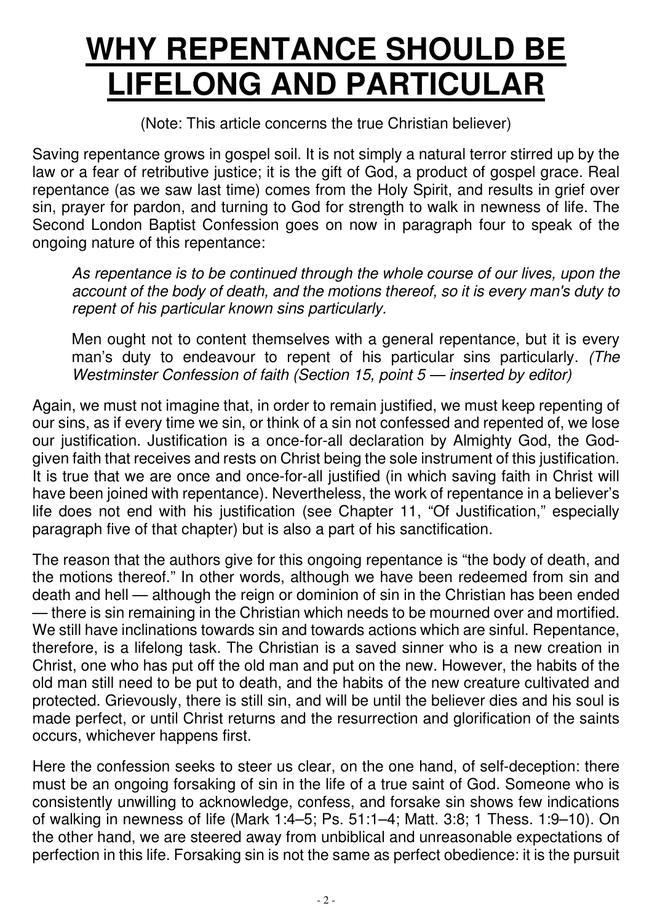# **WHY REPENTANCE SHOULD BE LIFELONG AND PARTICULAR**

(Note: This article concerns the true Christian believer)

Saving repentance grows in gospel soil. It is not simply a natural terror stirred up by the law or a fear of retributive justice; it is the gift of God, a product of gospel grace. Real repentance (as we saw last time) comes from the Holy Spirit, and results in grief over sin, prayer for pardon, and turning to God for strength to walk in newness of life. The Second London Baptist Confession goes on now in paragraph four to speak of the ongoing nature of this repentance:

As repentance is to be continued through the whole course of our lives, upon the *account of the body of death, and the motions thereof, so it is every man's duty to repent of his particular known sins particularly.*

Men ought not to content themselves with a general repentance, but it is every man's duty to endeavour to repent of his particular sins particularly. *(The Westminster Confession of faith (Section 15, point 5 — inserted by editor)*

Again, we must not imagine that, in order to remain justified, we must keep repenting of our sins, as if every time we sin, or think of a sin not confessed and repented of, we lose our justification. Justification is a once-for-all declaration by Almighty God, the Godgiven faith that receives and rests on Christ being the sole instrument of this justification. It is true that we are once and once-for-all justified (in which saving faith in Christ will have been joined with repentance). Nevertheless, the work of repentance in a believer 's life does not end with his justification (see Chapter 11, "Of Justification," especially paragraph five of that chapter) but is also a part of his sanctification.

The reason that the authors give for this ongoing repentance is "the body of death, and the motions thereof." In other words, although we have been redeemed from sin and death and hell — although the reign or dominion of sin in the Christian has been ended — there is sin remaining in the Christian which needs to be mourned over and mortified. We still have inclinations towards sin and towards actions which are sinful. Repentance, therefore, is a lifelong task. The Christian is a saved sinner who is a new creation in Christ, one who has put off the old man and put on the new. However, the habits of the old man still need to be put to death, and the habits of the new creature cultivated and protected. Grievously, there is still sin, and will be until the believer dies and his soul is made perfect, or until Christ returns and the resurrection and glorification of the saints occurs, whichever happens first.

Here the confession seeks to steer us clear, on the one hand, of self-deception: there must be an ongoing forsaking of sin in the life of a true saint of God. Someone who is consistently unwilling to acknowledge, confess, and forsake sin shows few indications of walking in newness of life (Mark 1:4–5; Ps. 51:1–4; Matt. 3:8; 1 Thess. 1:9–10). On the other hand, we are steered away from unbiblical and unreasonable expectations of perfection in this life. Forsaking sin is not the same as perfect obedience: it is the pursuit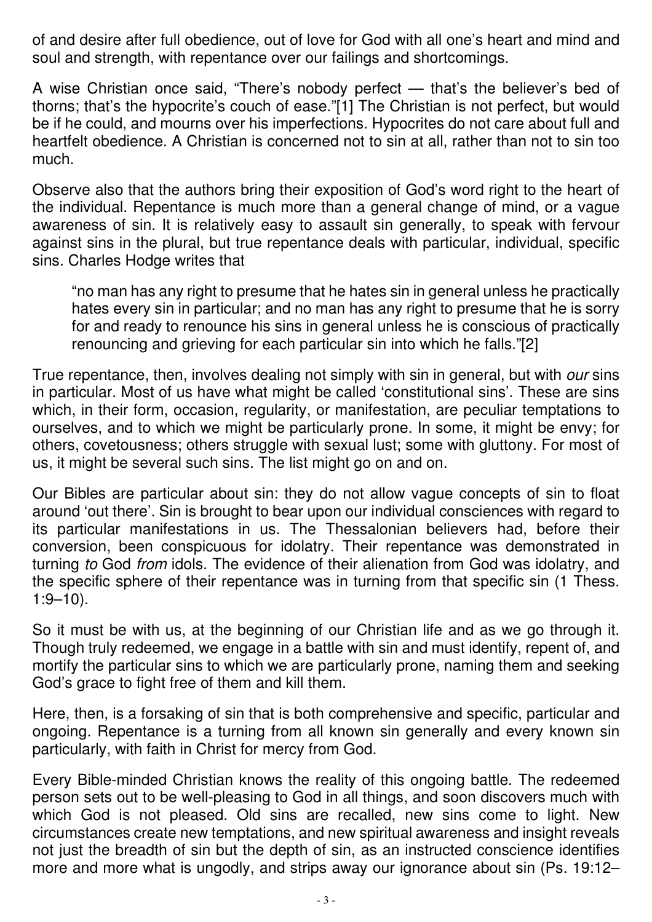of and desire after full obedience, out of love for God with all one's heart and mind and soul and strength, with repentance over our failings and shortcomings.

A wise Christian once said, "There's nobody perfect — that's the believer's bed of thorns; that's the hypocrite's couch of ease."[1] The Christian is not perfect, but would be if he could, and mourns over his imperfections. Hypocrites do not care about full and heartfelt obedience. A Christian is concerned not to sin at all, rather than not to sin too much.

Observe also that the authors bring their exposition of God's word right to the heart of the individual. Repentance is much more than a general change of mind, or a vague awareness of sin. It is relatively easy to assault sin generally, to speak with fervour against sins in the plural, but true repentance deals with particular, individual, specific sins. Charles Hodge writes that

"no man has any right to presume that he hates sin in general unless he practically hates every sin in particular; and no man has any right to presume that he is sorry for and ready to renounce his sins in general unless he is conscious of practically renouncing and grieving for each particular sin into which he falls."[2]

True repentance, then, involves dealing not simply with sin in general, but with *our* sins in particular. Most of us have what might be called 'constitutional sins '. These are sins which, in their form, occasion, regularity, or manifestation, are peculiar temptations to ourselves, and to which we might be particularly prone. In some, it might be envy; for others, covetousness; others struggle with sexual lust; some with gluttony. For most of us, it might be several such sins. The list might go on and on.

Our Bibles are particular about sin: they do not allow vague concepts of sin to float around 'out there'. Sin is brought to bear upon our individual consciences with regard to its particular manifestations in us. The Thessalonian believers had, before their conversion, been conspicuous for idolatry. Their repentance was demonstrated in turning *to* God *from* idols. The evidence of their alienation from God was idolatry, and the specific sphere of their repentance was in turning from that specific sin (1 Thess.  $1:9-10$ ).

So it must be with us, at the beginning of our Christian life and as we go through it. Though truly redeemed, we engage in a battle with sin and must identify, repent of, and mortify the particular sins to which we are particularly prone, naming them and seeking God's grace to fight free of them and kill them.

Here, then, is a forsaking of sin that is both comprehensive and specific, particular and ongoing. Repentance is a turning from all known sin generally and every known sin particularly, with faith in Christ for mercy from God.

Every Bible-minded Christian knows the reality of this ongoing battle. The redeemed person sets out to be well-pleasing to God in all things, and soon discovers much with which God is not pleased. Old sins are recalled, new sins come to light. New circumstances create new temptations, and new spiritual awareness and insight reveals not just the breadth of sin but the depth of sin, as an instructed conscience identifies more and more what is ungodly, and strips away our ignorance about sin (Ps. 19:12–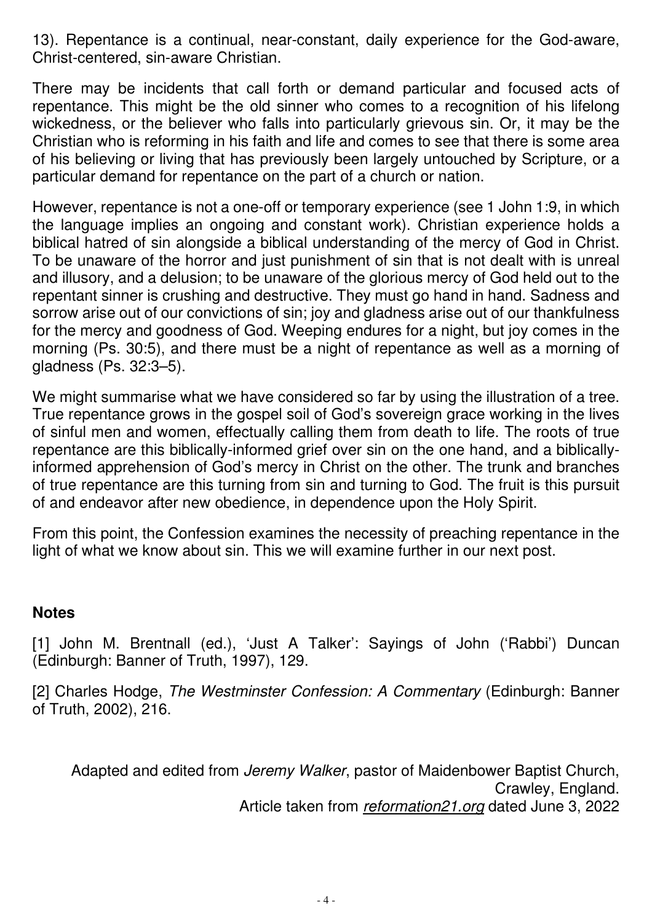13). Repentance is a continual, near-constant, daily experience for the God-aware, Christ-centered, sin-aware Christian.

There may be incidents that call forth or demand particular and focused acts of repentance. This might be the old sinner who comes to a recognition of his lifelong wickedness, or the believer who falls into particularly grievous sin. Or, it may be the Christian who is reforming in his faith and life and comes to see that there is some area of his believing or living that has previously been largely untouched by Scripture, or a particular demand for repentance on the part of a church or nation.

However, repentance is not a one-off or temporary experience (see 1 John 1:9, in which the language implies an ongoing and constant work). Christian experience holds a biblical hatred of sin alongside a biblical understanding of the mercy of God in Christ. To be unaware of the horror and just punishment of sin that is not dealt with is unreal and illusory, and a delusion; to be unaware of the glorious mercy of God held out to the repentant sinner is crushing and destructive. They must go hand in hand. Sadness and sorrow arise out of our convictions of sin; joy and gladness arise out of our thankfulness for the mercy and goodness of God. Weeping endures for a night, but joy comes in the morning (Ps. 30:5), and there must be a night of repentance as well as a morning of gladness (Ps. 32:3–5).

We might summarise what we have considered so far by using the illustration of a tree. True repentance grows in the gospel soil of God's sovereign grace working in the lives of sinful men and women, effectually calling them from death to life. The roots of true repentance are this biblically-informed grief over sin on the one hand, and a biblicallyinformed apprehension of God's mercy in Christ on the other. The trunk and branches of true repentance are this turning from sin and turning to God. The fruit is this pursuit of and endeavor after new obedience, in dependence upon the Holy Spirit.

From this point, the Confession examines the necessity of preaching repentance in the light of what we know about sin. This we will examine further in our next post.

### **Notes**

[1] John M. Brentnall (ed.), 'Just A Talker': Sayings of John ('Rabbi') Duncan (Edinburgh: Banner of Truth, 1997), 129.

[2] Charles Hodge, *The Westminster Confession: A Commentary* (Edinburgh: Banner of Truth, 2002), 216.

Adapted and edited from *Jeremy Walker*, pastor of Maidenbower Baptist Church, Crawley, England. Article taken from *reformation21.org* dated June 3, 2022